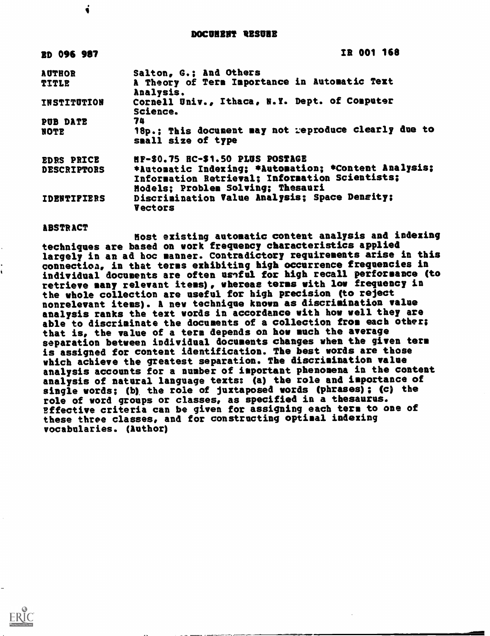DOCUNENT RESURE

| <b>BD 096 987</b>  | IR 001 168                                                                 |  |  |  |  |  |
|--------------------|----------------------------------------------------------------------------|--|--|--|--|--|
| <b>AUTHOR</b>      | Salton, G.: And Others                                                     |  |  |  |  |  |
| <b>TITLE</b>       | A Theory of Term Importance in Automatic Text<br>Analysis.                 |  |  |  |  |  |
| <b>INSTITUTION</b> | Cornell Univ., Ithaca, N.Y. Dept. of Computer<br>Science.                  |  |  |  |  |  |
| PUB DATE           | 74                                                                         |  |  |  |  |  |
| <b>NOTE</b>        | 18p.; This document may not reproduce clearly due to<br>small size of type |  |  |  |  |  |
| <b>EDRS PRICE</b>  | MF-\$0.75 HC-\$1.50 PLUS POSTAGE                                           |  |  |  |  |  |
| <b>DESCRIPTORS</b> | *Automatic Indexing; *Automation; *Content Analysis;                       |  |  |  |  |  |
|                    | Information Retrieval; Information Scientists;                             |  |  |  |  |  |
|                    | Hodels: Problem Solving; Thesauri                                          |  |  |  |  |  |
| <b>IDENTIFIERS</b> | Discrimination Value Analysis; Space Density;<br><b>Vectors</b>            |  |  |  |  |  |

## ABSTRACT

į

Most existing automatic content analysis and indexing techniques are based on work frequency characteristics applied largely in an ad hoc manner. Contradictory requirements arise in this connection, in that terms exhibiting high occurrence frequencies in individual documents are often useful for high recall performance (to retrieve many relevant items), whereas terms with low frequency in the whole collection are useful for high precision (to reject nonrelevant items). A new technique known as discrimination value analysis ranks the text words in accordance with how well they are able to discriminate the documents of a collection from each other; that is, the value of a term depends on how much the average separation between individual documents changes when the given term is assigned for content identification. The best words are those which achieve the greatest separation. The discrimination value analysis accounts for a number of important phenomena in the content analysis of natural language texts: (a) the role and importance of single words; (b) the role of juxtaposed words (phrases); (c) the role of word groups or classes, as specified in a thesaurus. Effective criteria can be given for assigning each term to one of these three classes, and for constructing optimal indexing vocabularies. (Anthem)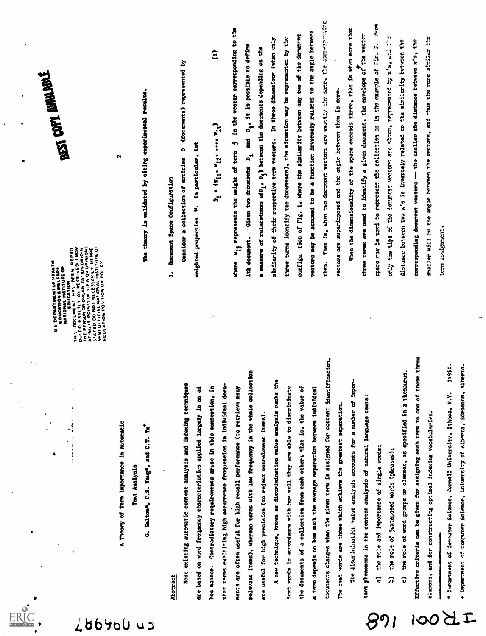

286900  $\overline{u}$ 

A Theory of Term Importance in Automatic Text Analysis

G. Salton\*, C.S. Yang\*, and C.T. Yu\*

# Abstract

relevant items), whereas terms with low frequency in the whole collection Most existing automatic content analysis and indexing techniques that terms exhibiting high occurrence frequencies in individual docubased on word frequency characteristics applied largely in an ad hoc manner. Contradictory requirements arise in this connection, in ments are often useful for high recall performance (to retrieve many are useful for high precision (to reject nonrelevant items) å

documents changes when the given term is assigned for content identification. A new technique, known as discrimination value analysis ranks the text words in acoordance with how well they are able to discriminate the documents of a collection from each other; that is, the value of a term depends on how much the average separation between individual The best words are those which achieve the greatest separation

important phenomena in the content analysis of natural language texts: The discrimination value analysis accounts for a number of

a) the role and importance of single words;

၉၇၊

b) the role of juxtaposed words (phrases);

c) the role of word groups or classes, as specified in a thesaurus,

Effective criteria can be given for assigning each term to one of these three classes, and for constructing optimel indexing vocabularies

a Department of Computer Science, Cornell University, Ithaca, N.Y. 19850.

 $\Delta$ 

100

+ Department of Computer Science, University of Alberta, Edmonton, Alberta

THIS DOCUMENT WHERE HEPRO<br>DUCED ERACTLY AS RECEIVED FROM<br>THE PERSON OR ONCONIZATION DRIGHT<br>ATING IT POINTS OF VEW OR ORIGINA<br>STATED CAN IN INSTITUTE OF<br>SEDUCATION POSITION OR POLICY<br>EDUCATION POSITION OR POLICY US DEPARTMENT UF MEALTH<br>EDUCATION & WELFARE<br>NATIONAL INSTITUTE OF<br>NATIONAL INSTITUTE OF

 $\cdot$ !

 $\begin{array}{c} \frac{1}{2} & \frac{1}{2} \\ \frac{1}{2} & \frac{1}{2} \\ \frac{1}{2} & \frac{1}{2} \\ \frac{1}{2} & \frac{1}{2} \\ \frac{1}{2} & \frac{1}{2} \\ \frac{1}{2} & \frac{1}{2} \\ \frac{1}{2} & \frac{1}{2} \\ \frac{1}{2} & \frac{1}{2} \\ \frac{1}{2} & \frac{1}{2} \\ \frac{1}{2} & \frac{1}{2} \\ \frac{1}{2} & \frac{1}{2} \\ \frac{1}{2} & \frac{1}{2} \\ \frac{1}{2} & \frac{1}{2} \\ \frac{1}{$ 

BEST DOPT NUMBER

 $\ddot{\phantom{0}}$ 

The theory is validated by citing experimental results.

 $\sim$ 

# 1. Document Space Configuration

Consider a collection of entities D (documents) represented by

weighted properties W. In particular, let

 $\mathbf{\hat{E}}$  $D_1 = (W_{11} \cdot W_{12} \cdot \cdots W_{16})$ 

them. That is, when two document vectors are exactly the same, the corresponding where  $w_{i,j}$  represents the weight of term  $j$  in the vector corresponding to the vectors may be assumed to be a function inversely related to the angle between configu tion of Fig. 1, where the similarity between any two of the document three terms identify the documents), the situation may be representer by the similarity of their respective term vectors. In three dimensions (when caly and D<sub>4</sub>, it is possible to define a measure of relatedness s(D<sub>1</sub>, D<sub>1</sub>) between the documents depending on the vectors are superimposed and the angle between them is zero. ith document. Given two documents  $D_1$ 

aire. When the dimensionality of the space exceeds three, that is when more than three terms are used to identify a given document, the envelope of the vector  $\frac{1}{2}$ smaller will be the angle between the vectors, and thus the rore similar the the space may be used to represent the collection as in the example of Fig. 2. tie  $\ddot{a}$ distance between two x's is inversely related to the similarity between corresponding document vectors -- the smaller the distance between x's, only the tips of the document vectors are shown, represented by x's, tern assignaen: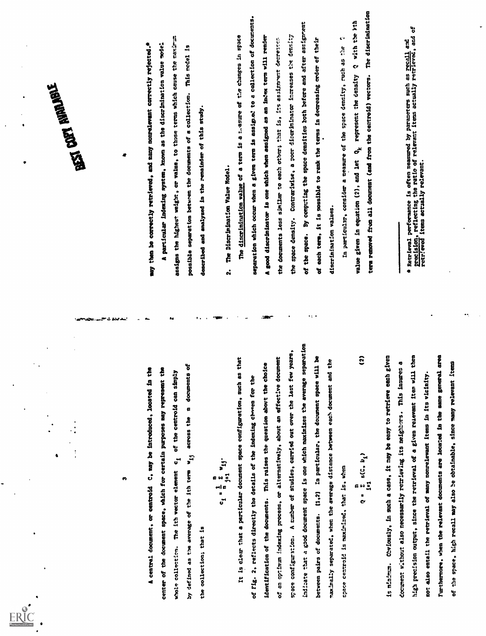$\bullet$ 

A central document, or centroid C, may be introduced, located in the center of the document space, which for certain purposes may represent the whole collection. The ith vector element c1 of the centroid can simply by defined as the average of the ith term wij across the n documents of the collection; that is n c a -Ey n ir It is clear that a particular document space configuration, such as that of fig. 2, reflects directly the details of the indexing cbeeen for the identification of the documents. This raises the question abort the choice of an optimum indexing process, or alternatively, about an effective document space configuration. A number of studies, carried out over the last few years, indizate that a good document space is one which maximizes the average separation between pairs of documents. (1,2) In particular, the document space will be \*.axially separated, when the average distance between each document and the space centroid is maximised, that is, when Q = I s(C, bi) i=1 (2) is minimum. Obviously, in such a case, it may be easy to retrieve each given document without also necessarily retrieving its neighbors. This insures a high precision output, since the retrieval of a given relevant item will then not also entail the retrieval of many nonrelevant items in its vicinity. Furthermore, when the relevant documents are located in the same general area of the space, high recall may also he obtainable, since many relevant items lay then be correctly retrieved, and many nonrelevant correctly rejected.\* A particular indexing system, known as the discrimination value lode: r assigns the highest weight, or value, to those terms which cause the maxim= possible separation between the documents of a collection. This model is described and analysed in the remainder of this study. 2. The Discrimination Value Nodel. The discrimination value of a term is a t...asure of Vie changes in space separation which occur when a given term is assigned to a collection of documents. A good discriminator is one which when assigned as an index term will render the documents less similar to each other; that is, its assi7nrent decreatcn the space density. Contrariwise, a poor discriminator increases tie density of the space. By computing the space densities both before and after assignment of each term, it is possible to rank the terms in decreasing order of their discrimination values. In particular, consider a measure of the space density, such as '..he value given in equation (2), and let Qk represent the density Q with the kth term removed from all document (and from the centroid) vectors. The discrimination \* Retrieval performance is often measured by parameters such as recall and precision, reflecting the ratio of relevant items actually retrieved, and of retrieved items actually relevant.

$$
Q = \sum_{i=1}^{n} s(C, b_i)
$$
 (2)

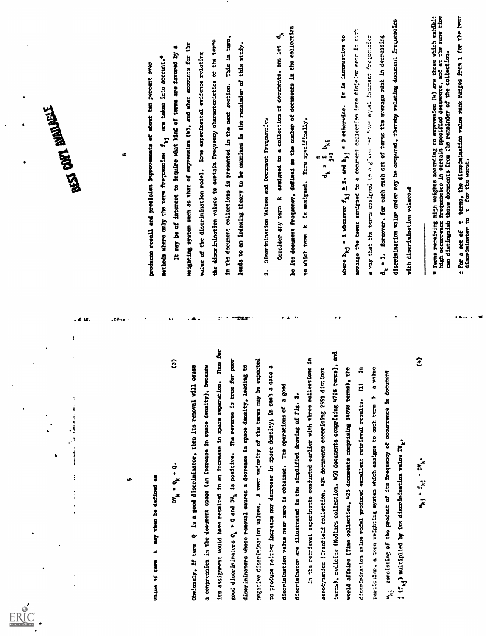

5

 $\label{eq:2.1} \begin{array}{ll} \text{F1}_{\text{1}}&\text{F2}_{\text{2}}&\text{F3}_{\text{2}}&\text{F4}_{\text{2}}&\text{F5}_{\text{2}}&\text{F6}_{\text{2}}&\text{F8}_{\text{2}}&\text{F8}_{\text{2}}&\text{F8}_{\text{2}}&\text{F8}_{\text{2}}&\text{F8}_{\text{2}}&\text{F8}_{\text{2}}&\text{F8}_{\text{2}}&\text{F8}_{\text{2}}&\text{F8}_{\text{2}}&\text{F8}_{\text{2}}&\text{F8}_{\text{2}}&$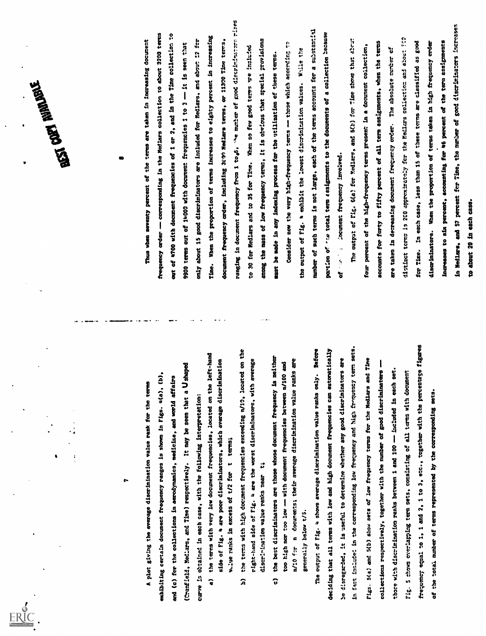

**CONTRIBUTER** 

7

- 
- 
- 

A plot giving the average discrimination value rank for the terms exhibiting certain document frequency ranges is shown in Figs. 4(a), (b), and (c) for the collections in aerodynamics, medicine, and world affairs (Cranfield, Medlars, and Time) respectively. It may be seen that a U shaped curve is obtained in each case, with the following interpretation: a) the terns with very low document frequencies, located on the left-hand side of Fig. 4 are poor discriminators, which average discrimination vc.lue ranks in excess of t/2 for t terms; b) the terms with high document frequencies exceeding n/10, located on the right-hand side of Fig. 4 are the worst discriminators, with average discrimination value ranks near t; c) the best discriminators are those whose document frequency is neither too high nor too low with document frequencies between n/100 and n/l0 for n documents; their average discrimination value ranks are generally below t/5. The output of Fig. 4 shows average discrimination value ranks only. Before deciding that all terms with low and high document frequencies can autonatically be disregarded, it is useful to determine whether any good discriminators are in fact include! in the corresponding low frequency and high fremuency term sets. Figs. 5(a) and 5(b) show sets of low frequency terms for the Medlars and Time collections respectively, together with the number of good discriminators thore with discrimination ranks between 1 and 100 included in each set. Fig. 5 chows overlapping term sets, consisting of all terms with document frequency equal to 1, 1 and 2, 1 to 3, etc., together with the percentage figures of the total number of terms represented by the corresponding sets. Thus when seventy percent of the terms are taken in increasing document frequency order corresponding in the Medlars collection to about 3200 terms out of 4700 with document frequencies of I or 2, and in the Time collection to 9900 terms out of 14000 with docmeent frequencies I to 3 it is seen that only about IS good discriminators are included for Medlars, and about :2 for Time. When the proportion of terms increases to eighty percent in increasing document frequency order, including 3COM Medlars terms, or 11300 Time terms, ranging in document frequency from 1 to.6, -%e number of good discriminators rises to 30 for Medlars and to 35 for Time. When so few good terms toe included among the mass of low frequency tenon, it is obvious that special provisions nest be made in any indexing process for the utilization of these terms. Consider now the very high - frequency terms those which accerdinn to the output of Fig. 4 exhibit the lowest discrimination values. irnile the number of such terms is not large, each of the terms accounts for a substantial portion of 'r.o total term assignments to the documents of a collection of i :ocument frequency involved. The output of Fig. 6(e) for Medlars, and 6(b) for Time shows that at four percent of the high-frequency terms present in a document collection, accounts for forty to fifty percent of all term assignments, when the terms are taken in decreasing document frequency order. The absolute number of distinct terms is 2C0 approxirstely fcr the Medlars collection an3 act !C2 for Time. In each case, less than 15 of these terns are classified as good discriminators. When the proportion of terns taken in high frequency order because Increases to six percent, accounting for 46 percent of the term assignments in Medlars, and 57 percent fer Time, the number of good discriminators increaser to about 20 is each case.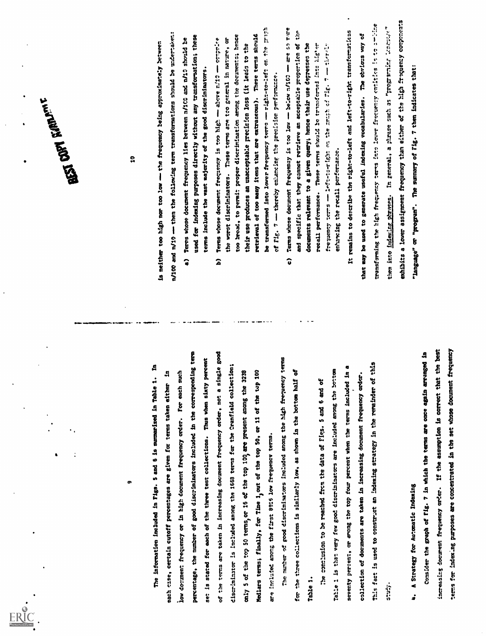| ٠                                                                                             | <b>The Park Report</b>                                                                                                                                     |
|-----------------------------------------------------------------------------------------------|------------------------------------------------------------------------------------------------------------------------------------------------------------|
|                                                                                               |                                                                                                                                                            |
| œ                                                                                             | å                                                                                                                                                          |
| д<br>The information included in Figs. 5 and 6 is summarized in Table 1.                      | is neither too high nor too low - the frequency leing approximately between                                                                                |
| 4<br>terms taken either<br>ach cartain cutoff percentages are given for                       | n/100 and n/19 -- then the following term transformations should be undertaken:                                                                            |
| low document frequency or in high document frequency order. For each such                     |                                                                                                                                                            |
| percentage, the number of good discriminators included in the corresponding term              | used for indexing purposes directly without any transformation; these<br>Terms whose document frequency lies between n/100 and n/10 should be<br>$\bullet$ |
| is stated for each of the three test collections. Thus when sixty percent<br>t:<br>5          | terms include the vast majority of the good discriminators.                                                                                                |
| the terms are taken in increasing document frequency order, not a single good                 | Terms whose document frequency is too high - above n/10 - comprise<br>$\mathbf{\hat{a}}$                                                                   |
| discriminator is included among the 1669 terms for the Cranfield collection;                  | the worst discriminators. These terms are too general in nature, or                                                                                        |
| only 5 of the top 50 terms, or 16 of the top 100 are present anong the 3238                   | too broad, to permit proper discrimination arong the decuments; hence<br>their use produces an unacceptable precision loss (it leads to the                |
| Medlars terms; finally, for Time 1, out of the top 50, or 11 of the top 100                   | retrieval of too many items that are extraneous). These terms should                                                                                       |
| included among the first 9916 low frequency terms.<br>a<br>H                                  | be transformed into lower frequency terms - right-to-left on the preside                                                                                   |
| The number of good discriminators included anong the high frequency terms                     | of Fig. 7 - thereby entencing the precision performance.                                                                                                   |
|                                                                                               | Terms whose document frequently is too low - below n/100 - are so rure<br>$\hat{\bm{c}}$                                                                   |
| the times collections is similarly low, as shown in the bottom half of<br>$\ddot{\mathbf{g}}$ | and specific that they cannot retrieve an acceptable proportion of the                                                                                     |
| Table 1                                                                                       | documents relevant to a given query; hence their use depresses the                                                                                         |
| conclusion to be reached from the data of Figs. 5 and 6 and of<br>្អើ                         | recall performance. These terms should be trunsfermed into higher<br>frequency terms -- left-teright on the spirit of lig. 7 -- there                      |
| Taile 1 is that very few good discriminators are included among the bottom                    | enhancing the recall performance.                                                                                                                          |
| seventy perient, or among the top four percent when the terms included in                     | It remains to describe the right-to-left and left-to-right transformations                                                                                 |
| collection of documents are taken in increasing document frequency order.                     | that may be used to generate useful indexing vocabularies. The obvious way of                                                                              |
| This fact is used to construct an indexing strategy in the remainder of this                  | transforming the high frequency cerns into lower frequency entities is to to omitme                                                                        |
| j.<br>Sili                                                                                    | them into indexing phrases. In general, a phrase such as "programing linerial"                                                                             |
|                                                                                               | exhibits a lower assignment frequency than either of the high frequency components                                                                         |
| A Strategy for Automatic Indexing<br>÷                                                        | "language" or "program". The summary of Fig. 7 then indicates that:                                                                                        |
| Consider the graph of Fig. 7 in which the terms are once again arranged in                    |                                                                                                                                                            |
| increasing document frequency order. If the assumption is correct that the best               |                                                                                                                                                            |
| terms for indexing purposes are concentrated in the set whose document frequency              |                                                                                                                                                            |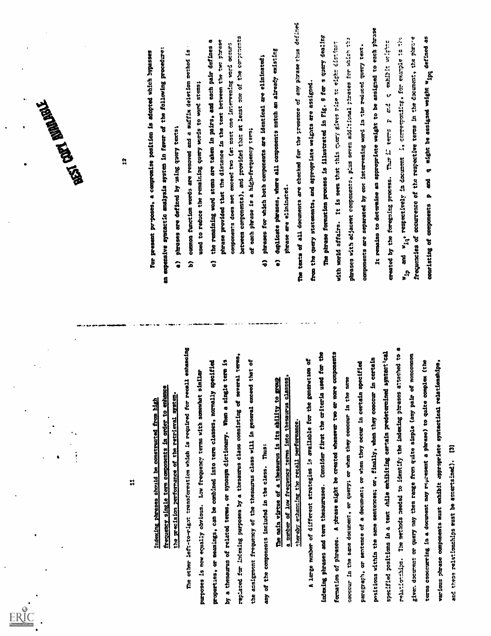|                                                                                                                                                                                        | Agent Man Range Times                                                                                                                                                                                                                          |
|----------------------------------------------------------------------------------------------------------------------------------------------------------------------------------------|------------------------------------------------------------------------------------------------------------------------------------------------------------------------------------------------------------------------------------------------|
| 덖                                                                                                                                                                                      | H                                                                                                                                                                                                                                              |
| enhance<br>the precision performance of the retrieval system.<br>Indexing phrases should be constructed from high<br>order to<br>5<br>components<br>tern<br>single<br><b>frequency</b> | an expensive syntactic analysis system in favor of the following procedure:<br>For present pryposes, a compromise position is adopted which bypasses<br>pheases are defined by using query texts;                                              |
| The other left-to-right transformation which is required for recall enhanoing<br>purposes is now equally obvious. Low frequency terms with somewhat similar                            | common function words are removed and a suffix deletion method is<br>used to reduce the remaining query words to word stems;<br>$\hat{\bullet}$<br>2                                                                                           |
| a theseurus of related terms, or synonym dictionary. When a single term is<br>properties, or meanings, can be combined into term classes, normally specified<br>ድ                      | phrase provided that the distance in the text between the two phrase<br>the remaining word stems are taken in pairs, and each pair defines a<br>components does not exceed two (at most one intervening word occurs<br>$\overline{\mathbf{o}}$ |
| replaced for indexing purposes by a thesaurus class consisting of several terms,<br>the assignment frequency of the thesaurus class will in general exceed that of                     | between components), and provided that at least one of the corporates<br>each phrase is a high-frequency term:<br>벙                                                                                                                            |
| Thus:<br>any of the components included in the class.                                                                                                                                  | phrases for which both components are identical are eliminated;<br>$\hat{\mathbf{z}}$                                                                                                                                                          |
| of low frequency terms into thesaurus classes,<br>The main virtue of a thesaurus is its ability to group<br>mnber                                                                      | duplicate phrases, where all components match an already existing<br>phrase are eliminated.<br>$\hat{\bullet}$                                                                                                                                 |
| A large number of different strategies is available for the generation of<br>thereby enhancing the recall performance                                                                  | The texts of all documents are checked for the presence of any phrase thus defined<br>from the query statements, and appropriate weights are assigned                                                                                          |
| intexing phrases and term thesauruses. Consider first the criteria used for the                                                                                                        | The phrase formation process is illustrated in Fig. 9 for a query dealing                                                                                                                                                                      |
| formation of phrases. A phrase might be created whenever two or more components<br>cooccur in the same document, or query; or when they cooccur in the same                            | phrases with adjacent components, plus seven additional phrases for which the<br>It is seen that this quony gives rice to eight distinct<br>with world affairs.                                                                                |
| paragraph, or sentence of a document; or when they occur in certain specified                                                                                                          | components are separated by one intervening word in the reduced query text.                                                                                                                                                                    |
| positions within the same sentences; or, finally, when they cooccur in certain                                                                                                         | It remains to determine an appropriate weight to be assigned to each phrase                                                                                                                                                                    |
| specified positions in a text while exhibiting cartain predetermined syntactical                                                                                                       | created by the foregoing process. Thus if terms p and q exhibit weight                                                                                                                                                                         |
| relationships. The methods needed to identify the indexing phrases attached to a<br>giver document or query may then range from quite simple (any pair of noncommon                    | frequencies of occurrence of the respective terms in the document, the phrone<br>and w <sub>id</sub> , respectively in document i, corresponding, for example to the<br>r.<br>S                                                                |
| terms cooccurring in a document may represent a phresse) to quite complex (the                                                                                                         | q might be assigned weight wipq defined as<br>Ĩ<br>$\bullet$<br>consisting of components                                                                                                                                                       |
| various phrase components must exhibit appropriate syntactical relationships.                                                                                                          |                                                                                                                                                                                                                                                |
| E<br>and these relationships must be accertained).                                                                                                                                     |                                                                                                                                                                                                                                                |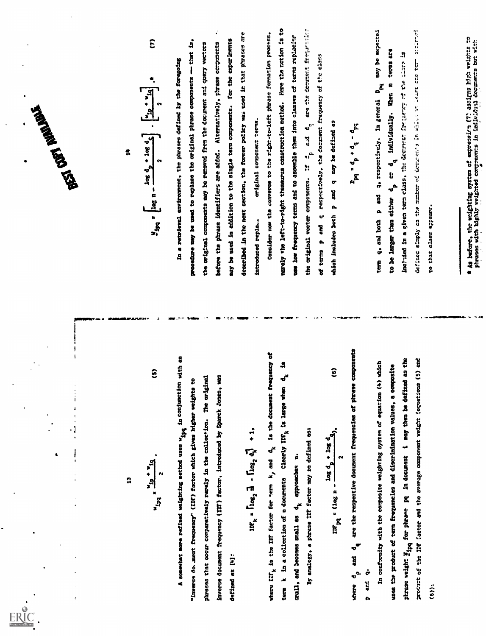



 $\overline{\mathbf{1}}$ 

$$
1.25 \frac{10}{10} \frac{10}{10} \frac{1}{10}
$$

$$
k = \lceil \log_2 \frac{1}{2} \rceil - \lceil \log_2 \frac{1}{2} \rceil + 1
$$

$$
= (10g \t{1} - \frac{10g \t{1} \t{1} \t{10} \t{2}}{2}), \t(6)
$$

$$
\frac{1}{2}
$$

$$
M_{2pq} = \left[\log n - \frac{\log d_p + \log d_q}{2}\right] \cdot \left[\frac{v_{2p} + v_{1q}}{2}\right] \cdot n \tag{7}
$$

13 "iv Wiq 2 (S) A somewhat more refined weighting method uses wipt io 400444t104 with an "inverse do,Jment frequency" (IDF) factor which gives higher weights to phrases that occur conparatively rarely in the collection. The original inverse document frequency (IN) factor, introduced by Sparck Jones, was defined as fa]: nrk s riog, as - 41 t 1, where rak is the IDF factor for term ki and dk is the document frequency of term k in a collection of n documents Clearly INk is large when dk is small, and becomes small as dk approaches n. By analogy, a phrase ICI' factor may ne defined as: log d. log d. /Win g (log n (a) 2 where d and dq are the respective document frequencies of phrase components 3Pq 2 dP dq - dPI 1a 14 log da .1ms, Wipq v Eng a- [IZI..!Li] 2 J 2 (7) In a retrieval environment, the phrases defined by the foregoing procedure may be used to replace the original phrase components that is, the original components may be removed from the document and query vectors before the phrase identifiers are added. Alternatively, phrase components may be used in addition to the single term components. for the experiments described.in the nest section, the former policy was used is that phrases are introduced repla.. original component terms. Consider now the converse to the right-to-left phrase formation process, narely the left-to-right thesaurus construction method. Here the notion is to use low frequency terms and to assemble them into classes of terms replacirr the original vector components. :f d. are the detnment % of terms p and q respectively, the do-anent frequency of ee class which includes both p and q may be defined as p and q. In conformity with the composite weighting system of equation (4) which uses the product of term frequencies and discrimination values, a composite phrase weight yin for phrase pq in document i may then be defined as the prof!unt of the IDF :actor and the average component weight fequations (5) and (6)): term q, and both p and q, respectively. In general Dpq may be ex;e:tei to be larger than either d car dq individually. When m terms are inclIded in a given term class. the exclricn frrquenr 17= t7.,e is defined simply as th.? number ttf. dcv..r.n.-3 it cte tcr- to that class: appear:. t \* As before, the weighting system of expre,sirn (7 as:igns h!'h weights to ,I phrases with highly weighted compments in individual decmmetts but with . s

$$
D_{pq} = d_{p} + d_{q} - d
$$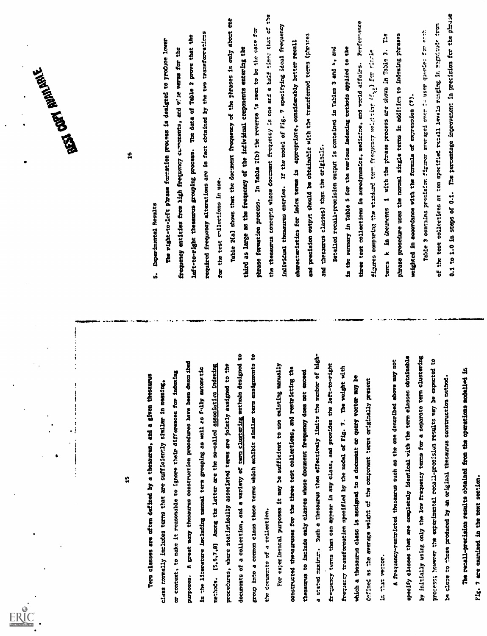

Term classes are often defined by a thesaurus, and a given thesaurus class normally includes terms that are sufficiently similar in meaning, or context, to take it reasonable to ignore their differences for indexing purposes. A great many thesaurus construction procedures have been described in the literature including manual term grouping as well as fully automatic methods. 15.5.7.8] Among the latter are the so-called associating indexing procedures, where statistically associated terms are jointly assigned to the documents of a collection, and a variety of term clustering methods designed to group into a common class those terms which exhibit similar term assignments to the documents of a collection. For experimental purposes it may be sufficient to use existing manually constructed thesauruses for the three test collections, and restricting the thesaurus to include only classes whose document frequency does not exceed a stated maxinum. Such a thesaurus then effectively limits the number of high- frequency terms than can appear in any class. and provides the left-to-right frequency transformation specified by the model of Fig. 7. The weight with which a thesaurus class is assigned to a document or query vector nay be defined as the average weight of the component terms originally present in that vector. A frequency-restricted thesaurus such as the one described above may not specify classes that are completely identical with the term classes obtainable by initially using only the low frequency terms for a separate term clustering process; however the experimental recall-precisiosn results may be expected to be sloce to those produced by an original thesaurus construction method. The recall-precision results obtained from the operations modellod in Fig. 7 are examined in the next section. I 16 S. Experimental Results The right-to-left prase formation process is designed to produce lower frequency entities from high frequency cvinonents, and vl:e versa for the left-to-right thesaurus grouping process. The data of Table 2 prove that the required frequency alterations are in fact obtained by the two tmnsforrations for the test collections in use. Table 2(a) shows that the document frequency of the phrases is only about one third as large as the frequency of the individual components entering the phrase formation process. In Table :(b) the reverse seen to be the case for the thesaurus concepts whose document freq;:etcy Is one and a half tine: that of the individual thesaurus entries. If the model of Fig. 7 specifying ideal frequency characteristics for index terms is appropriate, considerably better recall and precision output should be obtainable with the transformed terns (p'rares and thesaurus classes) than the originals. Detailed recall-precision output is contained in Tables 3 and u, and in the summary in Table 5 for the various indexing methods applied to the three test collections in aerodynamics, medicine, and world affairs. Perfcr-ance fizures comparing t!..e standard t er fre;scnc7 ve:Itiar fcr ritrle terms k in documents i with the phrase process are shown in Table 3. The phrase procedure uses the normal single terms in addition to indexing phrases weighted in accordance with the forcula of expression (7). Table 3 contains precision firirer average! :- user vo.rie: fr. -:h of the test collecticns at ten specified rczall levels mnging it ttagnitud02 :run 0.1 to 1.0 in steps of 0.1. The percentage improvement in precision for the phr.E4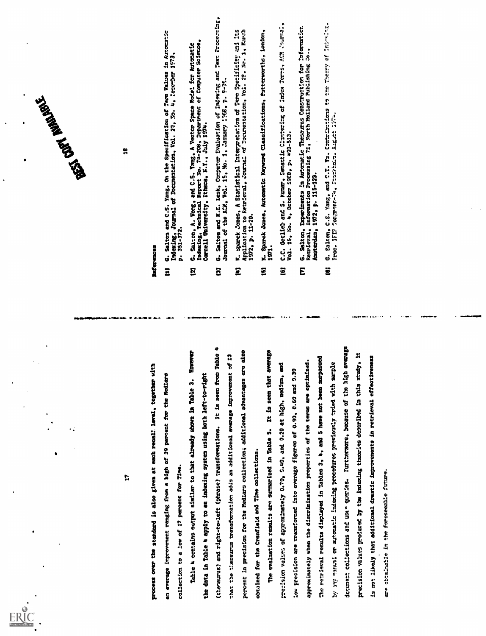

 $[1] \underbrace{0.1}_{\begin{smallmatrix} 0.1 & 0.1 & 0 \\ 0.1 & 0.1 & 0 \\ 0.1 & 0.1 & 0 \\ 0.1 & 0.1 & 0 \\ 0.1 & 0.1 & 0 \\ 0.1 & 0.1 & 0 \\ 0.1 & 0.1 & 0 \\ 0.1 & 0.1 & 0 \\ 0.1 & 0.1 & 0 \\ 0.1 & 0.1 & 0 \\ 0.1 & 0.1 & 0 \\ 0.1 & 0.1 & 0 \\ 0.1 & 0.1 & 0 \\ 0.1 & 0.1 & 0 \\ 0.1 & 0.1 & 0 \\ 0.1 & 0.$ 



June 1823 - July 1823

- 
- 
- 
- 
- 
- 
-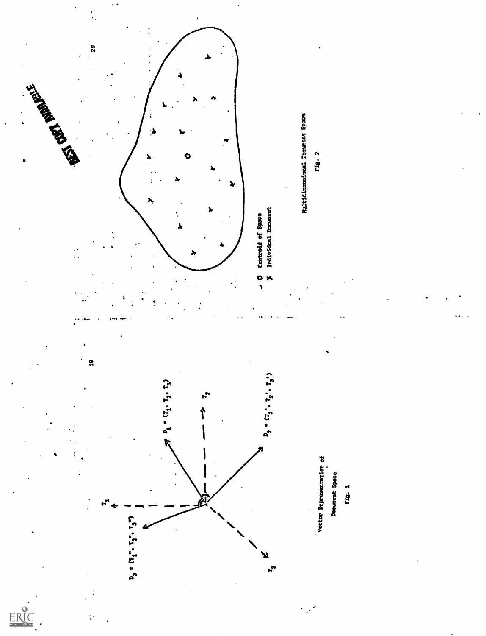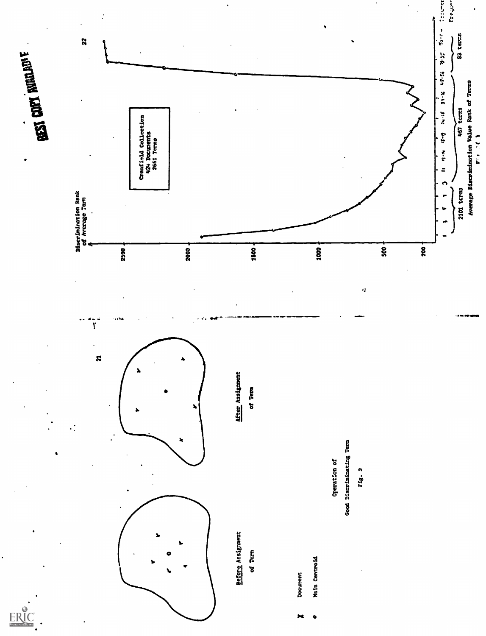**EXT COPY NOTINE ...** 

ERIC

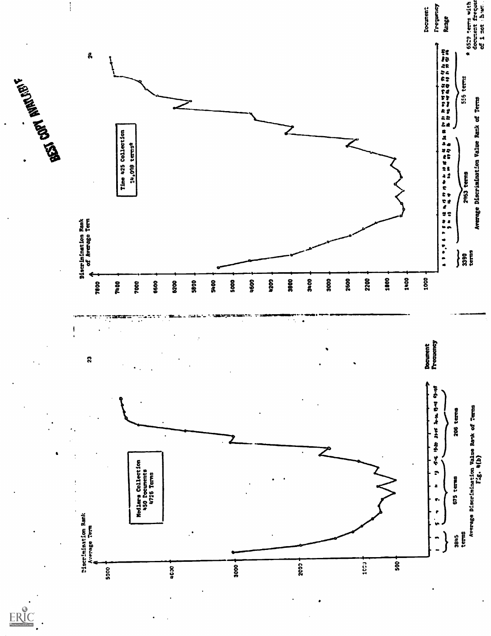

ERIC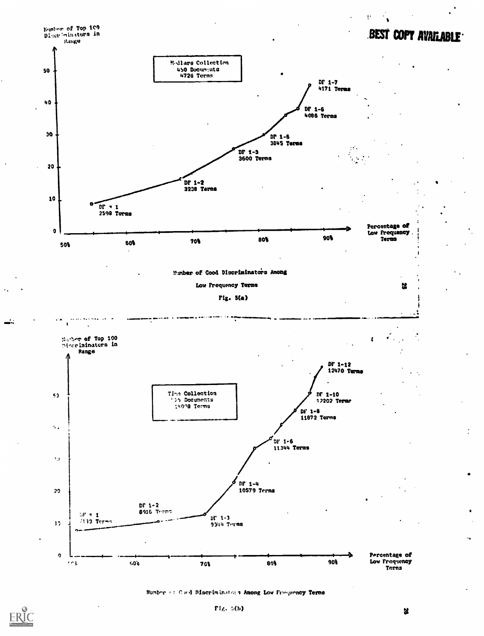

Number of Cool Discriminators Among Low Frequency Terms



X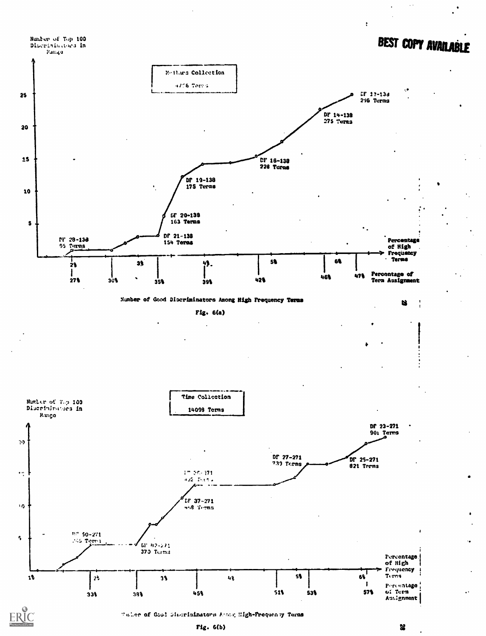

Taller of Good Simorininators Acong High-Proquency Torms

쏞

 $\ddot{\cdot}$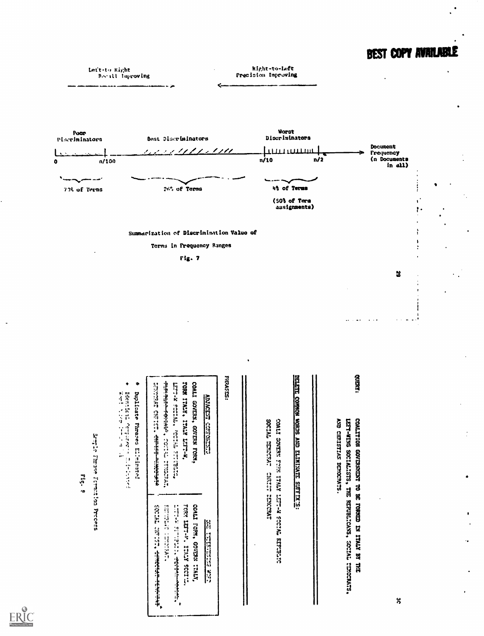# BEST COPY AVAILABLE



ERIC

 $\ddot{\mathbf{0}}$ 

ပ္က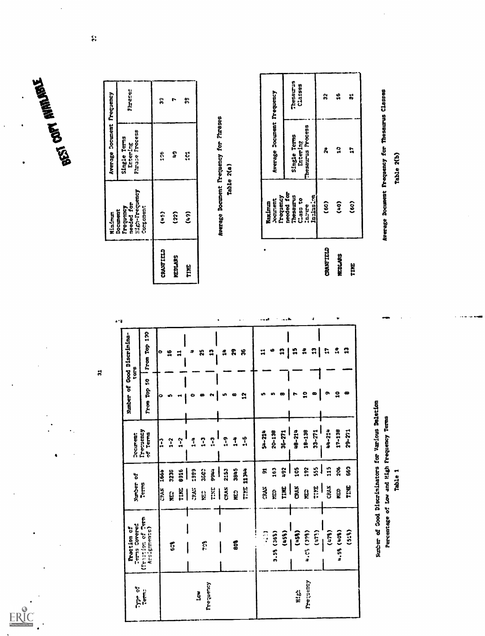

 $\ddot{\phantom{0}}$ 

ERIC

|                 | Minimum                                                                   | Average Document Frequency                 |         |
|-----------------|---------------------------------------------------------------------------|--------------------------------------------|---------|
|                 | Eigh-Frequency<br>needed for<br><b>Continent</b><br>Frequency<br>Document | Phrase Frocess<br>Single Terms<br>Entering | Fireses |
| CRANTIELD       | $\hat{c}$                                                                 | 62<br>22                                   | ူ       |
| <b>MEDILARS</b> | (22)                                                                      | å.                                         |         |
| e<br>E          | င်<br>(င်၃                                                                | ະູ                                         | m<br>M  |

Average Document Prequency for Phrases Table 2(a)

|                | Frequency<br><b>Joernent</b><br>Maximun | Average Document Frequency |           |
|----------------|-----------------------------------------|----------------------------|-----------|
|                | needed for<br>Thesaurus                 | Single Terms               | Thesaurus |
|                | Cass to                                 | Entering                   | Classes   |
|                | Indusim<br><b>Lastere</b>               | Thesaurus Process          |           |
| CRANTITLE      | (50)                                    | 2,                         | ၛ         |
| <b>MEDIARS</b> | Con)                                    | 3                          | 9         |
| H              | (co)                                    | ្ព                         | ដ         |
|                |                                         |                            |           |

Percentage of Low and High Frequency Terms

Average Document Frequency for Thesaurus Classes

Table 2(b)

Number of Good Discriminators for Various Deletion Table 1

 $\mathbf{a}$   $\mathbf{b}$  $\ddot{a}$ 

لعبيت

٠ŝ

 $\begin{array}{c|c|c|c|c|c} n & n & n & n \end{array}$ 

 $\cdots$ 

 $\mathbf{r}$ 

 $\pmb{\omega}$ 

 $\ddot{v}$ 

 $\ddotsc$ 

From Top 50 From Top 100 Number of Good Discrimina- $\mathbf{a}$  $\bullet$  $\bullet$  $\mathbf{r}$  $\overline{a}$  $\bullet$ 18-138 Decume**nt**<br>Treguency<br>of Terms 48-214  $17 - 138$  $29 - 271$  $54 - 214$ 20-138  $33 - 271$ 44-214  $36 - 271$  $rac{4}{1}$   $rac{6}{1}$  $1-2$  $\frac{1}{2}$  $\ddot{\cdot}$  $\ddot{1}$  $\ddot{.}$  $\frac{4}{1}$ l. 91<br>163  $892$ 105 192  $\frac{555}{100}$ **115** 206 **S6** 3845  $rac{6}{3}$ 3603 TIME 11 JHH 3236 1399 1766 CRAN 2153 **1665** Number of TIME TIME  $\frac{1}{2}$ ន្ត<br>ខ្លួ  $\frac{1}{2}$ CRAN  $\frac{1}{2}$ CRAK ខ្លួ SAS:  $\mathbf{a}$  $\mathbf{g}$ **AKS** ្អប្អ VEC<br>S **Raction of<br>Cerns Covered<br>Cerns Covered<br>Cerns of Cern<br>Accignments)**  $\frac{(456)}{1458}$  $(519)$  $(478)$ 3.5% (36%) (866) 50'n  $(177)$ 4.56 (408) 60A **Sold**  $\frac{6}{5}$ Prequency frequency Temps<br>Temps High  $\mathbf{\tilde{S}}$ 

 $\bar{V}$  .

ł

 $\sharp$ 

 $\bullet$  $\mathbf{25}$  $\mathbf{r}$ 

 $\mathbf{a}$ 

ö

 $\ddot{\mathbf{c}}$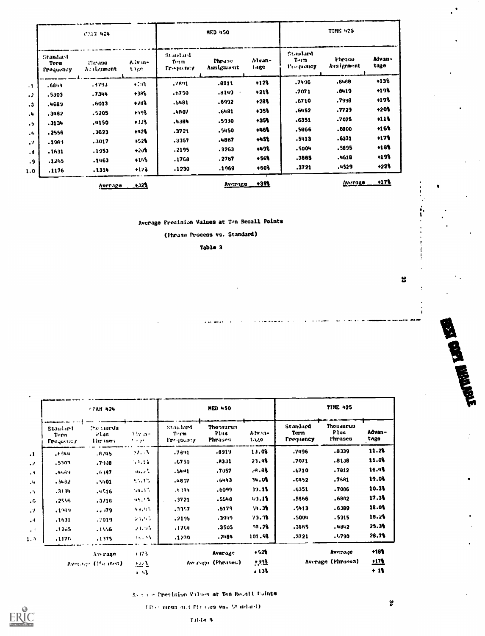|                                      | <b>CHAIL 424</b>       |                  |                                          | <b>MED 450</b>        |                |                                              | <b>TIME 425</b>      |                |
|--------------------------------------|------------------------|------------------|------------------------------------------|-----------------------|----------------|----------------------------------------------|----------------------|----------------|
| Standard<br>Term<br><b>Prequency</b> | Physics.<br>Austrament | Ally m-<br>t nge | Stanland<br>$T_{\rm eff}$ m<br>Freeman y | Phrane.<br>Assignment | Advan-<br>tage | Stanlard<br>$T_{\cdot1}$<br><b>Frequency</b> | Phrase<br>Assignment | Advan-<br>tage |
| .6844                                | .3793                  | $+ 1.91$         | .7891                                    | .8911                 | $+12%$         | .7496                                        | .8488.               | $+13%$         |
| .5303                                | .7344                  | 6964             | .6750                                    | .8149                 | $+213$         | .7071                                        | .8419                | $+19%$         |
| .4689                                | .6013                  | $+283$           | .5481                                    | .6992                 | $+28%$         | .6710                                        | .7998                | $+19%$         |
| .3482                                | .5205                  | $+198$           | ,4807                                    | .6481                 | $+35%$         | .6452                                        | .7729                | $+20%$         |
| .3134                                | .4150                  | $+328$           | ,4384                                    | .5930                 | $+35%$         | .6351                                        | .7025                | $+11%$         |
| .2556                                | .3623                  | $+428$           | .3721                                    | .5450                 | $+46%$         | .5866                                        | .6800                | +16%           |
|                                      | .3017                  | $+52%$           | .3357                                    | .4867                 | +4St           | .5413                                        | .6331                | $+17%$         |
| .1989                                | .1953                  | $+203$           | .2195                                    | .3263                 | +498           | .5004                                        | .5095                | $+18%$         |
| .1631                                | .1463                  | $+153$           | .1768                                    | . 2767                | $+56$          | .3865                                        | .4618                | $+19\%$        |
| .1265<br>.1176                       | .1314                  | $+123$           | .1230                                    | .1969                 | $+603$         | .3721                                        | .4529                | $+22%$         |
|                                      | Average                | $+323$           |                                          | Average               | $+39%$         |                                              | Average              | <u>+17%</u>    |

# Average Precision Values at Ton Recall Points

(Phruse Process vs. Standard)

Table 3

**TIME 425 MED 450 CPAN-424** . . . 1 **Thesaurus** Standard Thesaurus Staalard the samus Stanlard Advan-Plus Alvan-Term Plus  $\Lambda$  iv .n-Tern rlus Torm Phrases **Frequency** Phrases tage Frequency tage Frequency Ihrusen  $\mathcal{P} \rightarrow \mathcal{P} \mathcal{P}$  $11.28$  $.8339$  $\mathcal{H},\mathcal{K}$  $.7391$  $.8919$ 13.08 .7496  $\cdot$  $E$ 344  $.8745$ 15.08 23.4%  $.7071$  $.8138$ .A331  $3.3.16$ .6750 .5303  $.7908$  $\cdot$  $.7812$ 16.4%  $28.88$  $,7057$  $.6710$  $\delta\delta\phi$  ,  $\delta\delta$  $.5441$  $.6397$  $, 40.89$  $\ddot{\phantom{1}}$ 19.0%  $.6443$ 34.08  $.6452$  $.7681$ 55,4%  $.4807$  $\mathcal{A}$  $.3432$  $.9401$  $10.3%$  $39.13$  $.7006$  $.6351$  $54.1%$ , 4.394 .6099  $.3139$  $.4516$  $\mathcal{A}_{\mathbf{z}}$  $17.3%$  $.3721$ .5548  $49.13$ .5966 .6882  $45.23$  $\ddot{\phantom{a}}$  $.2556$  $.3/18$  $18.0%$  $94.38$  $.5413$  $.6389$ .5179  $\overline{\phantom{0}}$ .  $\mathcal{H}(\mathfrak{g}_0,\mathfrak{h}_0)$  $.3357$  $\mathcal{L}$ .1949 18.2%  $\mathcal{P}(\mathcal{X},\mathcal{Y})$  $.2195$  $.3919$  $73.9$  $.5004$ .5915  $\ddot{ }$ .1631  $:019$  $28.28$  $.3865$  $.4842$  $25.3%$  $.3505$ 23.05  $.1769$  $.1205$  $.1556$  $\epsilon^{-1}$  $28.7%$ 101.98  $.3721$  $.1,790$  $.2184$  $10.73$  $.1230$  $1.9$ .1176  $.1375$  $\sim$  $+528$ Average  $+18%$ Average Average  $+173$  $112$  $+3.23$ Average (Phranes) Average (Phrases) Average (Placinen)  $\pm 3.2$ 

Avenue Precision Values at Ten Recall Foints

 $+53$ 

 $.138$ 

(The unus and Phillies vs. Standard)



 $\ddot{\mathbf{r}}$ 

 $+19$ 

မ္မ